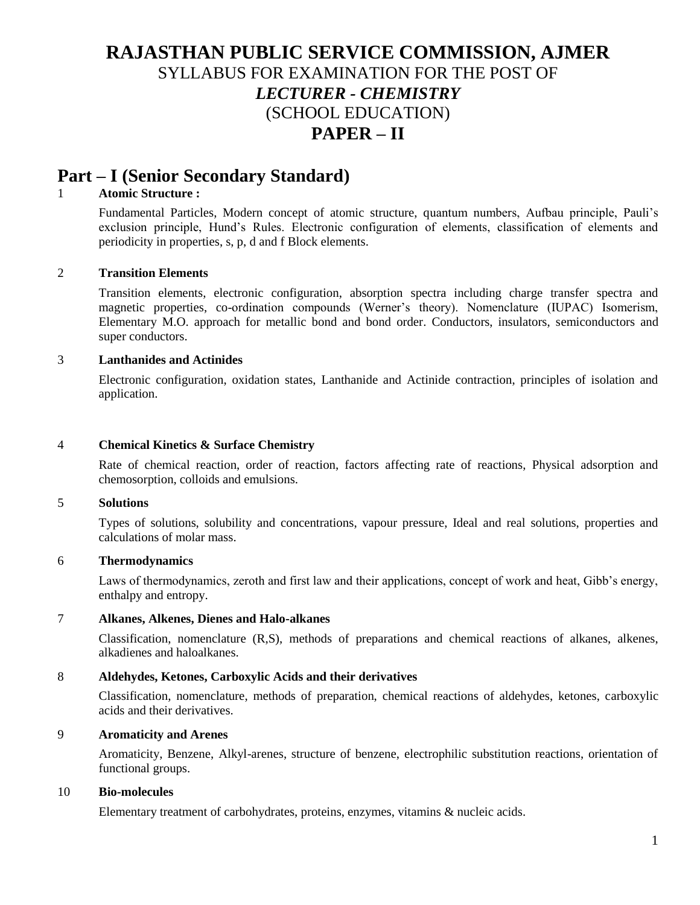# **RAJASTHAN PUBLIC SERVICE COMMISSION, AJMER** SYLLABUS FOR EXAMINATION FOR THE POST OF *LECTURER - CHEMISTRY*  (SCHOOL EDUCATION) **PAPER – II**

## **Part – I (Senior Secondary Standard)**

## 1 **Atomic Structure :**

Fundamental Particles, Modern concept of atomic structure, quantum numbers, Aufbau principle, Pauli's exclusion principle, Hund's Rules. Electronic configuration of elements, classification of elements and periodicity in properties, s, p, d and f Block elements.

## 2 **Transition Elements**

Transition elements, electronic configuration, absorption spectra including charge transfer spectra and magnetic properties, co-ordination compounds (Werner's theory). Nomenclature (IUPAC) Isomerism, Elementary M.O. approach for metallic bond and bond order. Conductors, insulators, semiconductors and super conductors.

## 3 **Lanthanides and Actinides**

Electronic configuration, oxidation states, Lanthanide and Actinide contraction, principles of isolation and application.

## 4 **Chemical Kinetics & Surface Chemistry**

Rate of chemical reaction, order of reaction, factors affecting rate of reactions, Physical adsorption and chemosorption, colloids and emulsions.

## 5 **Solutions**

Types of solutions, solubility and concentrations, vapour pressure, Ideal and real solutions, properties and calculations of molar mass.

## 6 **Thermodynamics**

Laws of thermodynamics, zeroth and first law and their applications, concept of work and heat, Gibb's energy, enthalpy and entropy.

## 7 **Alkanes, Alkenes, Dienes and Halo-alkanes**

Classification, nomenclature (R,S), methods of preparations and chemical reactions of alkanes, alkenes, alkadienes and haloalkanes.

## 8 **Aldehydes, Ketones, Carboxylic Acids and their derivatives**

Classification, nomenclature, methods of preparation, chemical reactions of aldehydes, ketones, carboxylic acids and their derivatives.

#### 9 **Aromaticity and Arenes**

Aromaticity, Benzene, Alkyl-arenes, structure of benzene, electrophilic substitution reactions, orientation of functional groups.

## 10 **Bio-molecules**

Elementary treatment of carbohydrates, proteins, enzymes, vitamins & nucleic acids.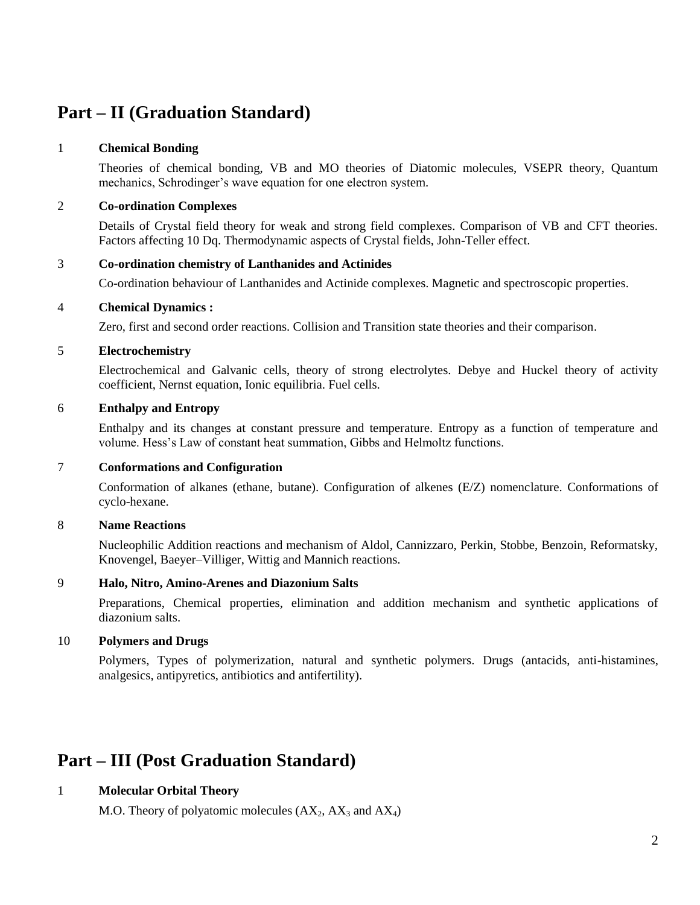# **Part – II (Graduation Standard)**

## 1 **Chemical Bonding**

Theories of chemical bonding, VB and MO theories of Diatomic molecules, VSEPR theory, Quantum mechanics, Schrodinger's wave equation for one electron system.

## 2 **Co-ordination Complexes**

Details of Crystal field theory for weak and strong field complexes. Comparison of VB and CFT theories. Factors affecting 10 Dq. Thermodynamic aspects of Crystal fields, John-Teller effect.

## 3 **Co-ordination chemistry of Lanthanides and Actinides**

Co-ordination behaviour of Lanthanides and Actinide complexes. Magnetic and spectroscopic properties.

## 4 **Chemical Dynamics :**

Zero, first and second order reactions. Collision and Transition state theories and their comparison.

#### 5 **Electrochemistry**

Electrochemical and Galvanic cells, theory of strong electrolytes. Debye and Huckel theory of activity coefficient, Nernst equation, Ionic equilibria. Fuel cells.

#### 6 **Enthalpy and Entropy**

Enthalpy and its changes at constant pressure and temperature. Entropy as a function of temperature and volume. Hess's Law of constant heat summation, Gibbs and Helmoltz functions.

## 7 **Conformations and Configuration**

Conformation of alkanes (ethane, butane). Configuration of alkenes (E/Z) nomenclature. Conformations of cyclo-hexane.

## 8 **Name Reactions**

Nucleophilic Addition reactions and mechanism of Aldol, Cannizzaro, Perkin, Stobbe, Benzoin, Reformatsky, Knovengel, Baeyer–Villiger, Wittig and Mannich reactions.

## 9 **Halo, Nitro, Amino-Arenes and Diazonium Salts**

Preparations, Chemical properties, elimination and addition mechanism and synthetic applications of diazonium salts.

## 10 **Polymers and Drugs**

Polymers, Types of polymerization, natural and synthetic polymers. Drugs (antacids, anti-histamines, analgesics, antipyretics, antibiotics and antifertility).

# **Part – III (Post Graduation Standard)**

## 1 **Molecular Orbital Theory**

M.O. Theory of polyatomic molecules  $(AX_2, AX_3 \text{ and } AX_4)$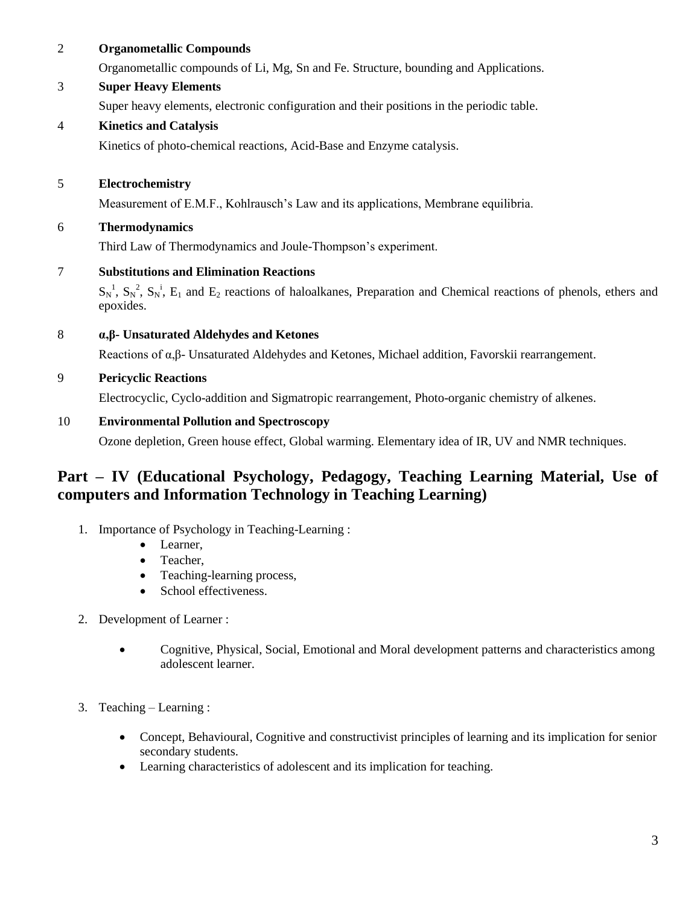| $\overline{2}$ | <b>Organometallic Compounds</b>                                                                                                                |  |  |
|----------------|------------------------------------------------------------------------------------------------------------------------------------------------|--|--|
|                | Organometallic compounds of Li, Mg, Sn and Fe. Structure, bounding and Applications.                                                           |  |  |
| $\mathfrak{Z}$ | <b>Super Heavy Elements</b>                                                                                                                    |  |  |
|                | Super heavy elements, electronic configuration and their positions in the periodic table.                                                      |  |  |
| $\overline{4}$ | <b>Kinetics and Catalysis</b>                                                                                                                  |  |  |
|                | Kinetics of photo-chemical reactions, Acid-Base and Enzyme catalysis.                                                                          |  |  |
| 5              | Electrochemistry                                                                                                                               |  |  |
|                | Measurement of E.M.F., Kohlrausch's Law and its applications, Membrane equilibria.                                                             |  |  |
| 6              | <b>Thermodynamics</b>                                                                                                                          |  |  |
|                | Third Law of Thermodynamics and Joule-Thompson's experiment.                                                                                   |  |  |
| $\overline{7}$ | <b>Substitutions and Elimination Reactions</b>                                                                                                 |  |  |
|                | $S_N^1$ , $S_N^2$ , $S_N^1$ , $E_1$ and $E_2$ reactions of haloalkanes, Preparation and Chemical reactions of phenols, ethers and<br>epoxides. |  |  |
| 8              | $\alpha$ , $\beta$ - Unsaturated Aldehydes and Ketones                                                                                         |  |  |
|                | Reactions of $\alpha$ , $\beta$ - Unsaturated Aldehydes and Ketones, Michael addition, Favorskii rearrangement.                                |  |  |
| 9              | <b>Pericyclic Reactions</b>                                                                                                                    |  |  |
|                | Electrocyclic, Cyclo-addition and Sigmatropic rearrangement, Photo-organic chemistry of alkenes.                                               |  |  |
| 10             | <b>Environmental Pollution and Spectroscopy</b>                                                                                                |  |  |
|                | Ozone depletion, Green house effect, Global warming. Elementary idea of IR, UV and NMR techniques.                                             |  |  |
|                |                                                                                                                                                |  |  |

## **Part – IV (Educational Psychology, Pedagogy, Teaching Learning Material, Use of computers and Information Technology in Teaching Learning)**

- 1. Importance of Psychology in Teaching-Learning :
	- Learner,
	- Teacher,
	- Teaching-learning process,
	- School effectiveness.
- 2. Development of Learner :
	- Cognitive, Physical, Social, Emotional and Moral development patterns and characteristics among adolescent learner.
- 3. Teaching Learning :
	- Concept, Behavioural, Cognitive and constructivist principles of learning and its implication for senior secondary students.
	- Learning characteristics of adolescent and its implication for teaching.